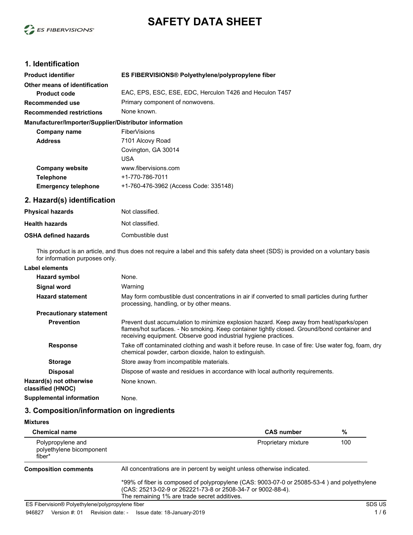



# **1. Identification**

| <b>Product identifier</b>                              | ES FIBERVISIONS® Polyethylene/polypropylene fiber       |  |
|--------------------------------------------------------|---------------------------------------------------------|--|
| Other means of identification                          |                                                         |  |
| <b>Product code</b>                                    | EAC, EPS, ESC, ESE, EDC, Herculon T426 and Heculon T457 |  |
| Recommended use                                        | Primary component of nonwovens.                         |  |
| <b>Recommended restrictions</b>                        | None known.                                             |  |
| Manufacturer/Importer/Supplier/Distributor information |                                                         |  |
| Company name                                           | <b>FiberVisions</b>                                     |  |
| <b>Address</b>                                         | 7101 Alcovy Road                                        |  |
|                                                        | Covington, GA 30014                                     |  |
|                                                        | USA                                                     |  |
| <b>Company website</b>                                 | www.fibervisions.com                                    |  |
| <b>Telephone</b>                                       | +1-770-786-7011                                         |  |
| <b>Emergency telephone</b>                             | +1-760-476-3962 (Access Code: 335148)                   |  |

#### **2. Hazard(s) identification**

| <b>Physical hazards</b>     | Not classified.  |
|-----------------------------|------------------|
| <b>Health hazards</b>       | Not classified.  |
| <b>OSHA defined hazards</b> | Combustible dust |

This product is an article, and thus does not require a label and this safety data sheet (SDS) is provided on a voluntary basis for information purposes only.

### **Label elements**

| <b>Hazard symbol</b>                         | None.                                                                                                                                                                                                                                                     |
|----------------------------------------------|-----------------------------------------------------------------------------------------------------------------------------------------------------------------------------------------------------------------------------------------------------------|
| Signal word                                  | Warning                                                                                                                                                                                                                                                   |
| <b>Hazard statement</b>                      | May form combustible dust concentrations in air if converted to small particles during further<br>processing, handling, or by other means.                                                                                                                |
| <b>Precautionary statement</b>               |                                                                                                                                                                                                                                                           |
| <b>Prevention</b>                            | Prevent dust accumulation to minimize explosion hazard. Keep away from heat/sparks/open<br>flames/hot surfaces. - No smoking. Keep container tightly closed. Ground/bond container and<br>receiving equipment. Observe good industrial hygiene practices. |
| <b>Response</b>                              | Take off contaminated clothing and wash it before reuse. In case of fire: Use water fog, foam, dry<br>chemical powder, carbon dioxide, halon to extinguish.                                                                                               |
| <b>Storage</b>                               | Store away from incompatible materials.                                                                                                                                                                                                                   |
| <b>Disposal</b>                              | Dispose of waste and residues in accordance with local authority requirements.                                                                                                                                                                            |
| Hazard(s) not otherwise<br>classified (HNOC) | None known.                                                                                                                                                                                                                                               |
| <b>Supplemental information</b>              | None.                                                                                                                                                                                                                                                     |

## **3. Composition/information on ingredients**

| <b>Mixtures</b>                                         |                                                                                                                                                                                                           |     |
|---------------------------------------------------------|-----------------------------------------------------------------------------------------------------------------------------------------------------------------------------------------------------------|-----|
| <b>Chemical name</b>                                    | <b>CAS number</b>                                                                                                                                                                                         | %   |
| Polypropylene and<br>polyethylene bicomponent<br>fiber* | Proprietary mixture                                                                                                                                                                                       | 100 |
| <b>Composition comments</b>                             | All concentrations are in percent by weight unless otherwise indicated.                                                                                                                                   |     |
|                                                         | *99% of fiber is composed of polypropylene (CAS: 9003-07-0 or 25085-53-4) and polyethylene<br>(CAS: 25213-02-9 or 262221-73-8 or 2508-34-7 or 9002-88-4).<br>The remaining 1% are trade secret additives. |     |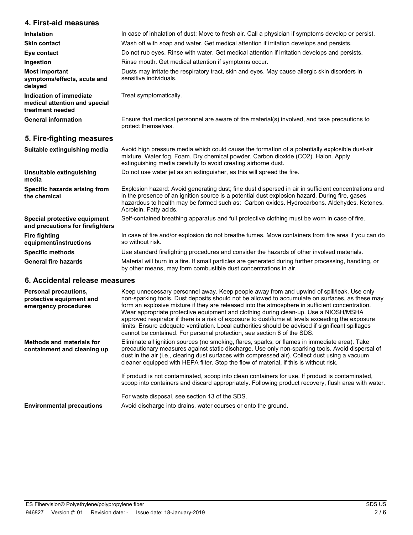## **4. First-aid measures**

| <b>Inhalation</b>                                                            | In case of inhalation of dust: Move to fresh air. Call a physician if symptoms develop or persist.                      |  |
|------------------------------------------------------------------------------|-------------------------------------------------------------------------------------------------------------------------|--|
| <b>Skin contact</b>                                                          | Wash off with soap and water. Get medical attention if irritation develops and persists.                                |  |
| Eye contact                                                                  | Do not rub eyes. Rinse with water. Get medical attention if irritation develops and persists.                           |  |
| Ingestion                                                                    | Rinse mouth. Get medical attention if symptoms occur.                                                                   |  |
| <b>Most important</b><br>symptoms/effects, acute and<br>delayed              | Dusts may irritate the respiratory tract, skin and eyes. May cause allergic skin disorders in<br>sensitive individuals. |  |
| Indication of immediate<br>medical attention and special<br>treatment needed | Treat symptomatically.                                                                                                  |  |
| <b>General information</b>                                                   | Ensure that medical personnel are aware of the material(s) involved, and take precautions to<br>protect themselves.     |  |

# **5. Fire-fighting measures**

| Suitable extinguishing media                                     | Avoid high pressure media which could cause the formation of a potentially explosible dust-air<br>mixture. Water fog. Foam. Dry chemical powder. Carbon dioxide (CO2). Halon. Apply<br>extinguishing media carefully to avoid creating airborne dust.                                                                           |
|------------------------------------------------------------------|---------------------------------------------------------------------------------------------------------------------------------------------------------------------------------------------------------------------------------------------------------------------------------------------------------------------------------|
| Unsuitable extinguishing<br>media                                | Do not use water jet as an extinguisher, as this will spread the fire.                                                                                                                                                                                                                                                          |
| Specific hazards arising from<br>the chemical                    | Explosion hazard: Avoid generating dust; fine dust dispersed in air in sufficient concentrations and<br>in the presence of an ignition source is a potential dust explosion hazard. During fire, gases<br>hazardous to health may be formed such as: Carbon oxides. Hydrocarbons. Aldehydes. Ketones.<br>Acrolein. Fatty acids. |
| Special protective equipment<br>and precautions for firefighters | Self-contained breathing apparatus and full protective clothing must be worn in case of fire.                                                                                                                                                                                                                                   |
| <b>Fire fighting</b><br>equipment/instructions                   | In case of fire and/or explosion do not breathe fumes. Move containers from fire area if you can do<br>so without risk.                                                                                                                                                                                                         |
| <b>Specific methods</b>                                          | Use standard firefighting procedures and consider the hazards of other involved materials.                                                                                                                                                                                                                                      |
| <b>General fire hazards</b>                                      | Material will burn in a fire. If small particles are generated during further processing, handling, or                                                                                                                                                                                                                          |

by other means, may form combustible dust concentrations in air.

#### **6. Accidental release measures**

| <b>Personal precautions,</b><br>protective equipment and<br>emergency procedures | Keep unnecessary personnel away. Keep people away from and upwind of spill/leak. Use only<br>non-sparking tools. Dust deposits should not be allowed to accumulate on surfaces, as these may<br>form an explosive mixture if they are released into the atmosphere in sufficient concentration.<br>Wear appropriate protective equipment and clothing during clean-up. Use a NIOSH/MSHA<br>approved respirator if there is a risk of exposure to dust/fume at levels exceeding the exposure<br>limits. Ensure adequate ventilation. Local authorities should be advised if significant spillages<br>cannot be contained. For personal protection, see section 8 of the SDS. |
|----------------------------------------------------------------------------------|-----------------------------------------------------------------------------------------------------------------------------------------------------------------------------------------------------------------------------------------------------------------------------------------------------------------------------------------------------------------------------------------------------------------------------------------------------------------------------------------------------------------------------------------------------------------------------------------------------------------------------------------------------------------------------|
| <b>Methods and materials for</b><br>containment and cleaning up                  | Eliminate all ignition sources (no smoking, flares, sparks, or flames in immediate area). Take<br>precautionary measures against static discharge. Use only non-sparking tools. Avoid dispersal of<br>dust in the air (i.e., clearing dust surfaces with compressed air). Collect dust using a vacuum<br>cleaner equipped with HEPA filter. Stop the flow of material, if this is without risk.                                                                                                                                                                                                                                                                             |
|                                                                                  | If product is not contaminated, scoop into clean containers for use. If product is contaminated,<br>scoop into containers and discard appropriately. Following product recovery, flush area with water.                                                                                                                                                                                                                                                                                                                                                                                                                                                                     |
|                                                                                  | For waste disposal, see section 13 of the SDS.                                                                                                                                                                                                                                                                                                                                                                                                                                                                                                                                                                                                                              |
| <b>Environmental precautions</b>                                                 | Avoid discharge into drains, water courses or onto the ground.                                                                                                                                                                                                                                                                                                                                                                                                                                                                                                                                                                                                              |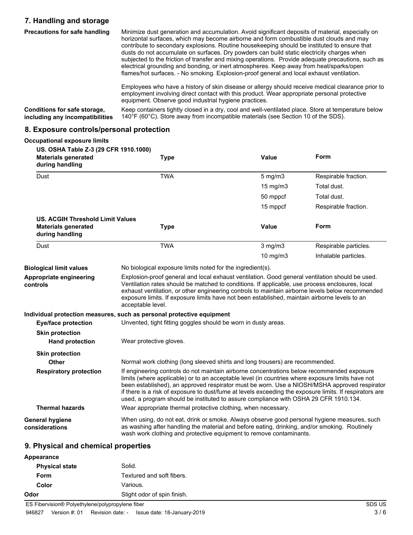# **7. Handling and storage**

| <b>Precautions for safe handling</b>                            | Minimize dust generation and accumulation. Avoid significant deposits of material, especially on<br>horizontal surfaces, which may become airborne and form combustible dust clouds and may<br>contribute to secondary explosions. Routine house keeping should be instituted to ensure that<br>dusts do not accumulate on surfaces. Dry powders can build static electricity charges when<br>subjected to the friction of transfer and mixing operations. Provide adequate precautions, such as<br>electrical grounding and bonding, or inert atmospheres. Keep away from heat/sparks/open<br>flames/hot surfaces. - No smoking. Explosion-proof general and local exhaust ventilation. |
|-----------------------------------------------------------------|------------------------------------------------------------------------------------------------------------------------------------------------------------------------------------------------------------------------------------------------------------------------------------------------------------------------------------------------------------------------------------------------------------------------------------------------------------------------------------------------------------------------------------------------------------------------------------------------------------------------------------------------------------------------------------------|
|                                                                 | Employees who have a history of skin disease or allergy should receive medical clearance prior to<br>employment involving direct contact with this product. Wear appropriate personal protective<br>equipment. Observe good industrial hygiene practices.                                                                                                                                                                                                                                                                                                                                                                                                                                |
| Conditions for safe storage,<br>including any incompatibilities | Keep containers tightly closed in a dry, cool and well-ventilated place. Store at temperature below<br>140°F (60°C). Store away from incompatible materials (see Section 10 of the SDS).                                                                                                                                                                                                                                                                                                                                                                                                                                                                                                 |

### **8. Exposure controls/personal protection**

| <b>Occupational exposure limits</b>                                                    |                                                                                                                                                                                                                                                                                                                                                                                                                              |                                                                                                                                                                                                                                                                                                                                                                                                                                                                                                   |                       |
|----------------------------------------------------------------------------------------|------------------------------------------------------------------------------------------------------------------------------------------------------------------------------------------------------------------------------------------------------------------------------------------------------------------------------------------------------------------------------------------------------------------------------|---------------------------------------------------------------------------------------------------------------------------------------------------------------------------------------------------------------------------------------------------------------------------------------------------------------------------------------------------------------------------------------------------------------------------------------------------------------------------------------------------|-----------------------|
| US. OSHA Table Z-3 (29 CFR 1910.1000)<br><b>Materials generated</b><br>during handling | <b>Type</b>                                                                                                                                                                                                                                                                                                                                                                                                                  | Value                                                                                                                                                                                                                                                                                                                                                                                                                                                                                             | Form                  |
| Dust                                                                                   | <b>TWA</b>                                                                                                                                                                                                                                                                                                                                                                                                                   | $5$ mg/m $3$                                                                                                                                                                                                                                                                                                                                                                                                                                                                                      | Respirable fraction.  |
|                                                                                        |                                                                                                                                                                                                                                                                                                                                                                                                                              | 15 mg/m3                                                                                                                                                                                                                                                                                                                                                                                                                                                                                          | Total dust.           |
|                                                                                        |                                                                                                                                                                                                                                                                                                                                                                                                                              | 50 mppcf                                                                                                                                                                                                                                                                                                                                                                                                                                                                                          | Total dust.           |
|                                                                                        |                                                                                                                                                                                                                                                                                                                                                                                                                              | 15 mppcf                                                                                                                                                                                                                                                                                                                                                                                                                                                                                          | Respirable fraction.  |
| <b>US. ACGIH Threshold Limit Values</b>                                                |                                                                                                                                                                                                                                                                                                                                                                                                                              |                                                                                                                                                                                                                                                                                                                                                                                                                                                                                                   |                       |
| <b>Materials generated</b><br>during handling                                          | <b>Type</b>                                                                                                                                                                                                                                                                                                                                                                                                                  | Value                                                                                                                                                                                                                                                                                                                                                                                                                                                                                             | Form                  |
| Dust                                                                                   | <b>TWA</b>                                                                                                                                                                                                                                                                                                                                                                                                                   | $3$ mg/m $3$                                                                                                                                                                                                                                                                                                                                                                                                                                                                                      | Respirable particles. |
|                                                                                        |                                                                                                                                                                                                                                                                                                                                                                                                                              | 10 mg/m3                                                                                                                                                                                                                                                                                                                                                                                                                                                                                          | Inhalable particles.  |
| <b>Biological limit values</b>                                                         | No biological exposure limits noted for the ingredient(s).                                                                                                                                                                                                                                                                                                                                                                   |                                                                                                                                                                                                                                                                                                                                                                                                                                                                                                   |                       |
| Appropriate engineering<br>controls                                                    | Explosion-proof general and local exhaust ventilation. Good general ventilation should be used.<br>Ventilation rates should be matched to conditions. If applicable, use process enclosures, local<br>exhaust ventilation, or other engineering controls to maintain airborne levels below recommended<br>exposure limits. If exposure limits have not been established, maintain airborne levels to an<br>acceptable level. |                                                                                                                                                                                                                                                                                                                                                                                                                                                                                                   |                       |
|                                                                                        | Individual protection measures, such as personal protective equipment                                                                                                                                                                                                                                                                                                                                                        |                                                                                                                                                                                                                                                                                                                                                                                                                                                                                                   |                       |
| <b>Eye/face protection</b>                                                             | Unvented, tight fitting goggles should be worn in dusty areas.                                                                                                                                                                                                                                                                                                                                                               |                                                                                                                                                                                                                                                                                                                                                                                                                                                                                                   |                       |
| <b>Skin protection</b>                                                                 |                                                                                                                                                                                                                                                                                                                                                                                                                              |                                                                                                                                                                                                                                                                                                                                                                                                                                                                                                   |                       |
| <b>Hand protection</b>                                                                 | Wear protective gloves.                                                                                                                                                                                                                                                                                                                                                                                                      |                                                                                                                                                                                                                                                                                                                                                                                                                                                                                                   |                       |
| <b>Skin protection</b>                                                                 |                                                                                                                                                                                                                                                                                                                                                                                                                              |                                                                                                                                                                                                                                                                                                                                                                                                                                                                                                   |                       |
| Other                                                                                  | Normal work clothing (long sleeved shirts and long trousers) are recommended.                                                                                                                                                                                                                                                                                                                                                |                                                                                                                                                                                                                                                                                                                                                                                                                                                                                                   |                       |
| <b>Respiratory protection</b>                                                          |                                                                                                                                                                                                                                                                                                                                                                                                                              | If engineering controls do not maintain airborne concentrations below recommended exposure<br>limits (where applicable) or to an acceptable level (in countries where exposure limits have not<br>been established), an approved respirator must be worn. Use a NIOSH/MSHA approved respirator<br>if there is a risk of exposure to dust/fume at levels exceeding the exposure limits. If respirators are<br>used, a program should be instituted to assure compliance with OSHA 29 CFR 1910.134. |                       |
| <b>Thermal hazards</b>                                                                 | Wear appropriate thermal protective clothing, when necessary.                                                                                                                                                                                                                                                                                                                                                                |                                                                                                                                                                                                                                                                                                                                                                                                                                                                                                   |                       |
| <b>General hygiene</b><br>considerations                                               | When using, do not eat, drink or smoke. Always observe good personal hygiene measures, such<br>as washing after handling the material and before eating, drinking, and/or smoking. Routinely<br>wash work clothing and protective equipment to remove contaminants.                                                                                                                                                          |                                                                                                                                                                                                                                                                                                                                                                                                                                                                                                   |                       |

### **9. Physical and chemical properties**

| Appearance                                       |                             |        |
|--------------------------------------------------|-----------------------------|--------|
| <b>Physical state</b>                            | Solid.                      |        |
| <b>Form</b>                                      | Textured and soft fibers.   |        |
| Color                                            | Various.                    |        |
| Odor                                             | Slight odor of spin finish. |        |
| ES Fibervision® Polyethylene/polypropylene fiber |                             | SDS US |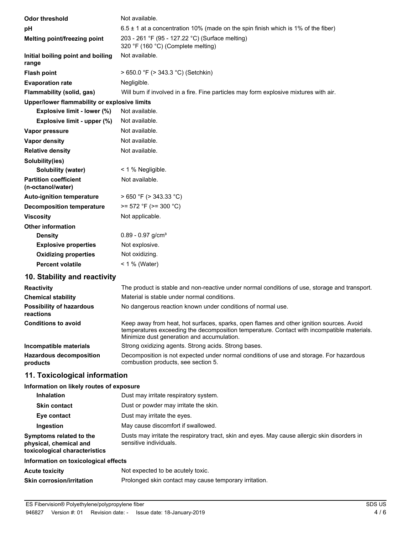| <b>Odor threshold</b>                             | Not available.                                                                        |
|---------------------------------------------------|---------------------------------------------------------------------------------------|
| рH                                                | $6.5 \pm 1$ at a concentration 10% (made on the spin finish which is 1% of the fiber) |
| Melting point/freezing point                      | 203 - 261 °F (95 - 127.22 °C) (Surface melting)<br>320 °F (160 °C) (Complete melting) |
| Initial boiling point and boiling<br>range        | Not available.                                                                        |
| <b>Flash point</b>                                | $> 650.0$ °F ( $> 343.3$ °C) (Setchkin)                                               |
| <b>Evaporation rate</b>                           | Negligible.                                                                           |
| Flammability (solid, gas)                         | Will burn if involved in a fire. Fine particles may form explosive mixtures with air. |
| Upper/lower flammability or explosive limits      |                                                                                       |
| Explosive limit - lower (%)                       | Not available.                                                                        |
| Explosive limit - upper (%)                       | Not available.                                                                        |
| Vapor pressure                                    | Not available.                                                                        |
| <b>Vapor density</b>                              | Not available.                                                                        |
| <b>Relative density</b>                           | Not available.                                                                        |
| Solubility(ies)                                   |                                                                                       |
| <b>Solubility (water)</b>                         | < 1 % Negligible.                                                                     |
| <b>Partition coefficient</b><br>(n-octanol/water) | Not available.                                                                        |
| <b>Auto-ignition temperature</b>                  | $>650$ °F ( $>343.33$ °C)                                                             |
| <b>Decomposition temperature</b>                  | $>= 572$ °F ( $>= 300$ °C)                                                            |
| <b>Viscosity</b>                                  | Not applicable.                                                                       |
| <b>Other information</b>                          |                                                                                       |
| <b>Density</b>                                    | $0.89 - 0.97$ g/cm <sup>3</sup>                                                       |
| <b>Explosive properties</b>                       | Not explosive.                                                                        |
| <b>Oxidizing properties</b>                       | Not oxidizing.                                                                        |
| <b>Percent volatile</b>                           | $< 1 %$ (Water)                                                                       |
| 10. Stability and reactivity                      |                                                                                       |

| <b>Reactivity</b>                            | The product is stable and non-reactive under normal conditions of use, storage and transport.                                                                                                                                        |  |
|----------------------------------------------|--------------------------------------------------------------------------------------------------------------------------------------------------------------------------------------------------------------------------------------|--|
| <b>Chemical stability</b>                    | Material is stable under normal conditions.                                                                                                                                                                                          |  |
| <b>Possibility of hazardous</b><br>reactions | No dangerous reaction known under conditions of normal use.                                                                                                                                                                          |  |
| <b>Conditions to avoid</b>                   | Keep away from heat, hot surfaces, sparks, open flames and other ignition sources. Avoid<br>temperatures exceeding the decomposition temperature. Contact with incompatible materials.<br>Minimize dust generation and accumulation. |  |
| Incompatible materials                       | Strong oxidizing agents. Strong acids. Strong bases.                                                                                                                                                                                 |  |
| <b>Hazardous decomposition</b><br>products   | Decomposition is not expected under normal conditions of use and storage. For hazardous<br>combustion products, see section 5.                                                                                                       |  |

## **11. Toxicological information**

### **Information on likely routes of exposure**

| <b>Inhalation</b>                                                                  | Dust may irritate respiratory system.                                                                                   |
|------------------------------------------------------------------------------------|-------------------------------------------------------------------------------------------------------------------------|
| <b>Skin contact</b>                                                                | Dust or powder may irritate the skin.                                                                                   |
| Eye contact                                                                        | Dust may irritate the eyes.                                                                                             |
| Ingestion                                                                          | May cause discomfort if swallowed.                                                                                      |
| Symptoms related to the<br>physical, chemical and<br>toxicological characteristics | Dusts may irritate the respiratory tract, skin and eyes. May cause allergic skin disorders in<br>sensitive individuals. |
| Information on toxicological effects                                               |                                                                                                                         |
| <b>Acute toxicity</b>                                                              | Not expected to be acutely toxic.                                                                                       |
| <b>Skin corrosion/irritation</b>                                                   | Prolonged skin contact may cause temporary irritation.                                                                  |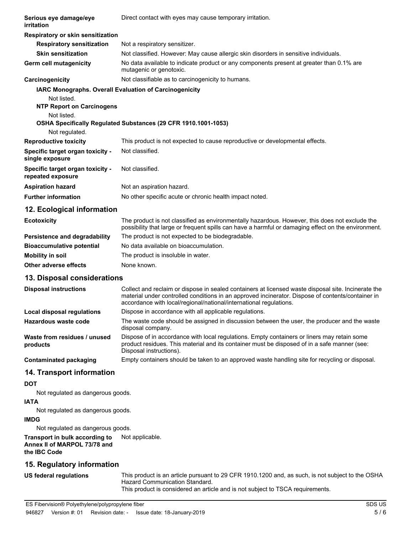| Serious eye damage/eye<br>irritation                   | Direct contact with eyes may cause temporary irritation.                                                                                                                                              |
|--------------------------------------------------------|-------------------------------------------------------------------------------------------------------------------------------------------------------------------------------------------------------|
| Respiratory or skin sensitization                      |                                                                                                                                                                                                       |
| <b>Respiratory sensitization</b>                       | Not a respiratory sensitizer.                                                                                                                                                                         |
| <b>Skin sensitization</b>                              | Not classified. However: May cause allergic skin disorders in sensitive individuals.                                                                                                                  |
| <b>Germ cell mutagenicity</b>                          | No data available to indicate product or any components present at greater than 0.1% are<br>mutagenic or genotoxic.                                                                                   |
| Carcinogenicity                                        | Not classifiable as to carcinogenicity to humans.                                                                                                                                                     |
| IARC Monographs. Overall Evaluation of Carcinogenicity |                                                                                                                                                                                                       |
| Not listed.                                            |                                                                                                                                                                                                       |
| <b>NTP Report on Carcinogens</b>                       |                                                                                                                                                                                                       |
| Not listed.                                            |                                                                                                                                                                                                       |
| Not regulated.                                         | OSHA Specifically Regulated Substances (29 CFR 1910.1001-1053)                                                                                                                                        |
| <b>Reproductive toxicity</b>                           | This product is not expected to cause reproductive or developmental effects.                                                                                                                          |
|                                                        | Not classified.                                                                                                                                                                                       |
| Specific target organ toxicity -<br>single exposure    |                                                                                                                                                                                                       |
| Specific target organ toxicity -<br>repeated exposure  | Not classified.                                                                                                                                                                                       |
| <b>Aspiration hazard</b>                               | Not an aspiration hazard.                                                                                                                                                                             |
| <b>Further information</b>                             | No other specific acute or chronic health impact noted.                                                                                                                                               |
| 12. Ecological information                             |                                                                                                                                                                                                       |
| <b>Ecotoxicity</b>                                     | The product is not classified as environmentally hazardous. However, this does not exclude the<br>possibility that large or frequent spills can have a harmful or damaging effect on the environment. |
| Persistence and degradability                          | The product is not expected to be biodegradable.                                                                                                                                                      |
| <b>Bioaccumulative potential</b>                       | No data available on bioaccumulation.                                                                                                                                                                 |
| <b>Mobility in soil</b>                                | The product is insoluble in water.                                                                                                                                                                    |
| Other adverse effects                                  | None known.                                                                                                                                                                                           |
| 13. Disposal considerations                            |                                                                                                                                                                                                       |

| <b>Disposal instructions</b>             | Collect and reclaim or dispose in sealed containers at licensed waste disposal site. Incinerate the<br>material under controlled conditions in an approved incinerator. Dispose of contents/container in<br>accordance with local/regional/national/international regulations. |
|------------------------------------------|--------------------------------------------------------------------------------------------------------------------------------------------------------------------------------------------------------------------------------------------------------------------------------|
| Local disposal regulations               | Dispose in accordance with all applicable regulations.                                                                                                                                                                                                                         |
| Hazardous waste code                     | The waste code should be assigned in discussion between the user, the producer and the waste<br>disposal company.                                                                                                                                                              |
| Waste from residues / unused<br>products | Dispose of in accordance with local regulations. Empty containers or liners may retain some<br>product residues. This material and its container must be disposed of in a safe manner (see:<br>Disposal instructions).                                                         |
| <b>Contaminated packaging</b>            | Empty containers should be taken to an approved waste handling site for recycling or disposal.                                                                                                                                                                                 |

## **14. Transport information**

### **DOT**

Not regulated as dangerous goods.

#### **IATA**

Not regulated as dangerous goods.

## **IMDG**

Not regulated as dangerous goods.

#### **Transport in bulk according to** Not applicable. **Annex II of MARPOL 73/78 and the IBC Code**

# **15. Regulatory information**

**US federal regulations**

This product is an article pursuant to 29 CFR 1910.1200 and, as such, is not subject to the OSHA Hazard Communication Standard.

This product is considered an article and is not subject to TSCA requirements.